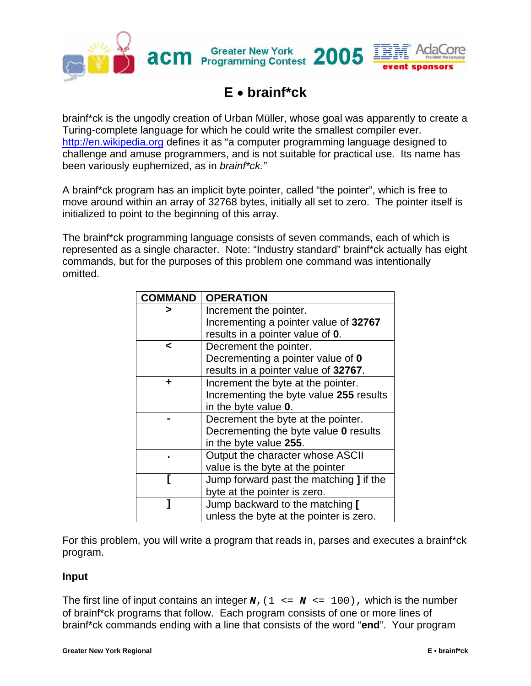

## **E** • **brainf\*ck**

brainf\*ck is the ungodly creation of Urban Müller, whose goal was apparently to create a Turing-complete language for which he could write the smallest compiler ever. [http://en.wikipedia.org](http://en.wikipedia.org/) defines it as "a computer programming language designed to challenge and amuse programmers, and is not suitable for practical use. Its name has been variously euphemized, as in *brainf\*ck."* 

A brainf\*ck program has an implicit byte pointer, called "the pointer", which is free to move around within an array of 32768 bytes, initially all set to zero. The pointer itself is initialized to point to the beginning of this array.

The brainf\*ck programming language consists of seven commands, each of which is represented as a single character. Note: "Industry standard" brainf\*ck actually has eight commands, but for the purposes of this problem one command was intentionally omitted.

| <b>COMMAND</b> | <b>OPERATION</b>                               |
|----------------|------------------------------------------------|
|                | Increment the pointer.                         |
|                | Incrementing a pointer value of 32767          |
|                | results in a pointer value of 0.               |
| ≺              | Decrement the pointer.                         |
|                | Decrementing a pointer value of 0              |
|                | results in a pointer value of 32767.           |
|                | Increment the byte at the pointer.             |
|                | Incrementing the byte value 255 results        |
|                | in the byte value 0.                           |
|                | Decrement the byte at the pointer.             |
|                | Decrementing the byte value 0 results          |
|                | in the byte value 255.                         |
|                | Output the character whose ASCII               |
|                | value is the byte at the pointer               |
|                | Jump forward past the matching <b>]</b> if the |
|                | byte at the pointer is zero.                   |
|                | Jump backward to the matching [                |
|                | unless the byte at the pointer is zero.        |

For this problem, you will write a program that reads in, parses and executes a brainf\*ck program.

## **Input**

The first line of input contains an integer  $\mathbf{N}$ , (1 <=  $\mathbf{N}$  <= 100), which is the number of brainf\*ck programs that follow. Each program consists of one or more lines of brainf\*ck commands ending with a line that consists of the word "**end**". Your program